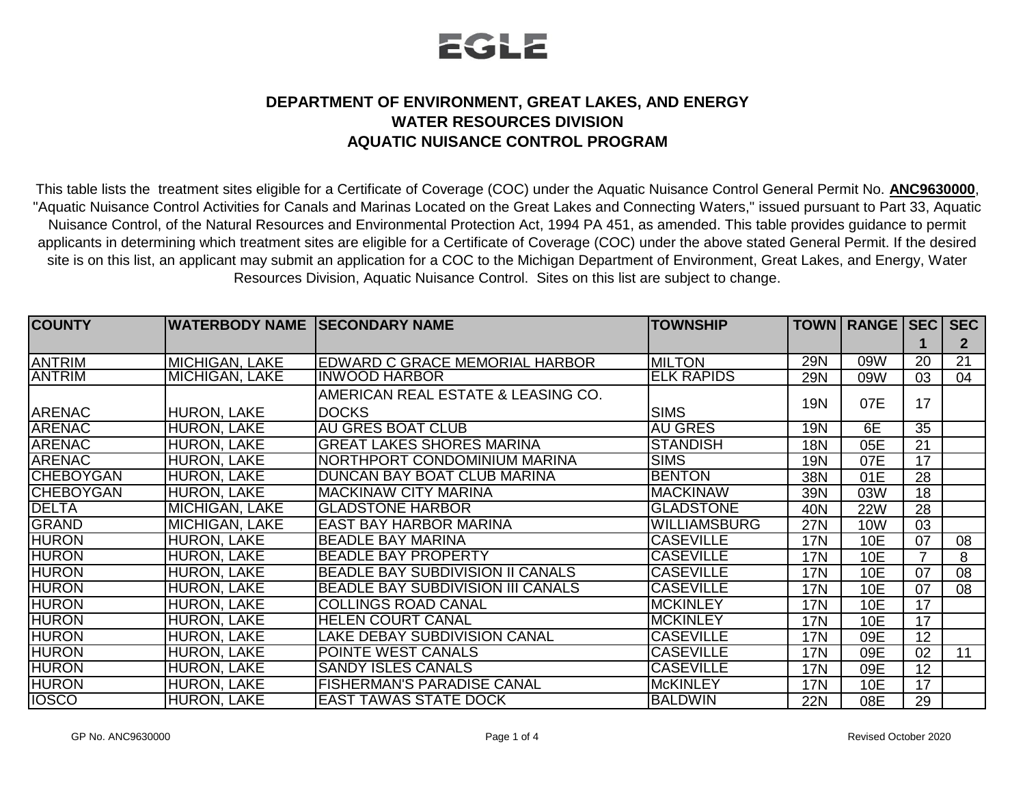

## **DEPARTMENT OF ENVIRONMENT, GREAT LAKES, AND ENERGY WATER RESOURCES DIVISION AQUATIC NUISANCE CONTROL PROGRAM**

This table lists the treatment sites eligible for a Certificate of Coverage (COC) under the Aquatic Nuisance Control General Permit No. **ANC9630000**, "Aquatic Nuisance Control Activities for Canals and Marinas Located on the Great Lakes and Connecting Waters," issued pursuant to Part 33, Aquatic Nuisance Control, of the Natural Resources and Environmental Protection Act, 1994 PA 451, as amended. This table provides guidance to permit applicants in determining which treatment sites are eligible for a Certificate of Coverage (COC) under the above stated General Permit. If the desired site is on this list, an applicant may submit an application for a COC to the Michigan Department of Environment, Great Lakes, and Energy, Water Resources Division, Aquatic Nuisance Control. Sites on this list are subject to change.

| <b>COUNTY</b>    | <b>WATERBODY NAME SECONDARY NAME</b> |                                          | <b>TOWNSHIP</b>     |            | TOWN   RANGE   SEC |    | <b>SEC</b>   |
|------------------|--------------------------------------|------------------------------------------|---------------------|------------|--------------------|----|--------------|
|                  |                                      |                                          |                     |            |                    |    | $\mathbf{2}$ |
| <b>ANTRIM</b>    | MICHIGAN, LAKE                       | EDWARD C GRACE MEMORIAL HARBOR           | <b>MILTON</b>       | <b>29N</b> | 09W                | 20 | 21           |
| <b>ANTRIM</b>    | MICHIGAN, LAKE                       | <b>INWOOD HARBOR</b>                     | <b>ELK RAPIDS</b>   | <b>29N</b> | 09W                | 03 | 04           |
|                  |                                      | AMERICAN REAL ESTATE & LEASING CO.       |                     | <b>19N</b> | 07E                | 17 |              |
| <b>ARENAC</b>    | <b>HURON, LAKE</b>                   | <b>DOCKS</b>                             | <b>SIMS</b>         |            |                    |    |              |
| <b>ARENAC</b>    | <b>HURON, LAKE</b>                   | <b>AU GRES BOAT CLUB</b>                 | <b>AU GRES</b>      | <b>19N</b> | 6E                 | 35 |              |
| <b>ARENAC</b>    | <b>HURON, LAKE</b>                   | <b>GREAT LAKES SHORES MARINA</b>         | <b>STANDISH</b>     | <b>18N</b> | 05E                | 21 |              |
| <b>ARENAC</b>    | <b>HURON, LAKE</b>                   | INORTHPORT CONDOMINIUM MARINA            | <b>SIMS</b>         | <b>19N</b> | 07E                | 17 |              |
| <b>CHEBOYGAN</b> | <b>HURON, LAKE</b>                   | DUNCAN BAY BOAT CLUB MARINA              | <b>BENTON</b>       | 38N        | 01E                | 28 |              |
| <b>CHEBOYGAN</b> | <b>HURON, LAKE</b>                   | <b>IMACKINAW CITY MARINA</b>             | <b>MACKINAW</b>     | 39N        | 03W                | 18 |              |
| DELTA            | <b>MICHIGAN, LAKE</b>                | <b>GLADSTONE HARBOR</b>                  | <b>GLADSTONE</b>    | 40N        | <b>22W</b>         | 28 |              |
| <b>GRAND</b>     | <b>MICHIGAN, LAKE</b>                | <b>EAST BAY HARBOR MARINA</b>            | <b>WILLIAMSBURG</b> | <b>27N</b> | 10W                | 03 |              |
| <b>HURON</b>     | <b>HURON, LAKE</b>                   | <b>BEADLE BAY MARINA</b>                 | <b>CASEVILLE</b>    | <b>17N</b> | 10E                | 07 | 08           |
| <b>HURON</b>     | <b>HURON, LAKE</b>                   | <b>BEADLE BAY PROPERTY</b>               | <b>CASEVILLE</b>    | <b>17N</b> | 10E                |    | 8            |
| <b>HURON</b>     | <b>HURON, LAKE</b>                   | BEADLE BAY SUBDIVISION II CANALS         | <b>CASEVILLE</b>    | <b>17N</b> | 10E                | 07 | 08           |
| <b>HURON</b>     | <b>HURON, LAKE</b>                   | <b>BEADLE BAY SUBDIVISION III CANALS</b> | <b>CASEVILLE</b>    | <b>17N</b> | 10E                | 07 | 08           |
| <b>HURON</b>     | <b>HURON, LAKE</b>                   | <b>COLLINGS ROAD CANAL</b>               | <b>MCKINLEY</b>     | <b>17N</b> | 10E                | 17 |              |
| <b>HURON</b>     | <b>HURON, LAKE</b>                   | <b>HELEN COURT CANAL</b>                 | <b>MCKINLEY</b>     | <b>17N</b> | 10E                | 17 |              |
| <b>HURON</b>     | <b>HURON, LAKE</b>                   | <b>LAKE DEBAY SUBDIVISION CANAL</b>      | <b>CASEVILLE</b>    | <b>17N</b> | 09E                | 12 |              |
| <b>HURON</b>     | <b>HURON, LAKE</b>                   | POINTE WEST CANALS                       | <b>CASEVILLE</b>    | <b>17N</b> | 09E                | 02 | 11           |
| <b>HURON</b>     | <b>HURON, LAKE</b>                   | <b>SANDY ISLES CANALS</b>                | <b>CASEVILLE</b>    | <b>17N</b> | 09E                | 12 |              |
| <b>HURON</b>     | <b>HURON, LAKE</b>                   | <b>FISHERMAN'S PARADISE CANAL</b>        | <b>McKINLEY</b>     | <b>17N</b> | 10E                | 17 |              |
| <b>IOSCO</b>     | <b>HURON, LAKE</b>                   | <b>EAST TAWAS STATE DOCK</b>             | <b>BALDWIN</b>      | <b>22N</b> | 08E                | 29 |              |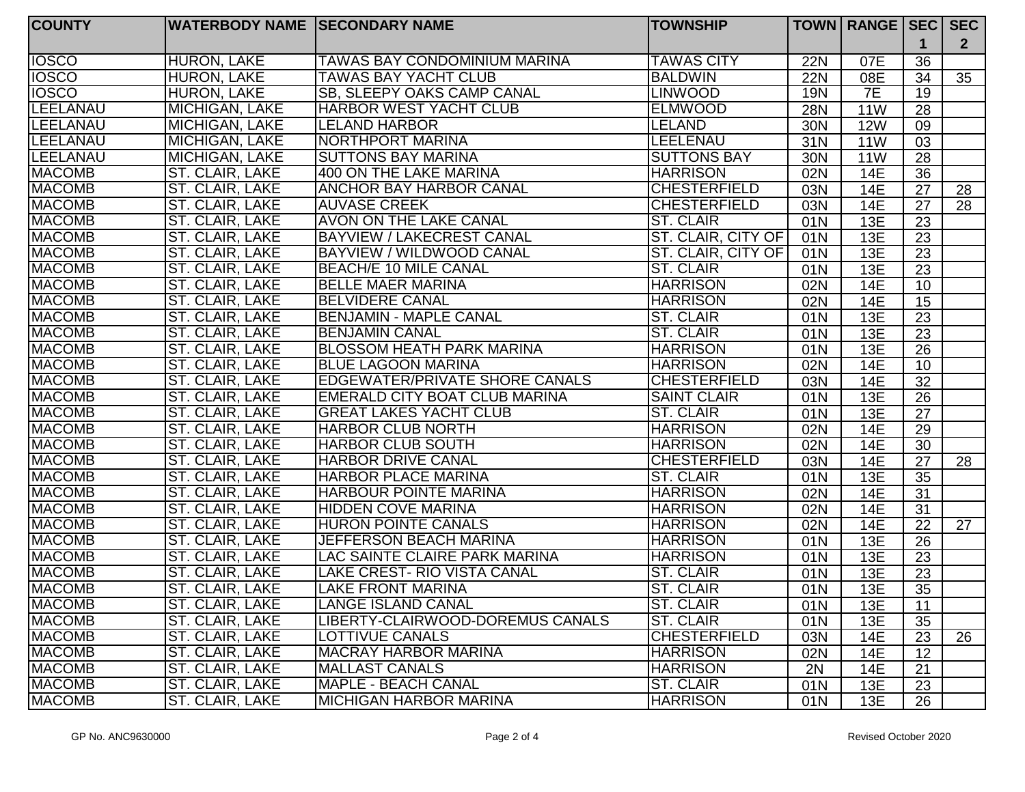| <b>COUNTY</b>   | <b>WATERBODY NAME SECONDARY NAME</b> |                                       | <b>TOWNSHIP</b>     |            | <b>TOWN   RANGE   SEC  </b> |                 | SEC            |
|-----------------|--------------------------------------|---------------------------------------|---------------------|------------|-----------------------------|-----------------|----------------|
|                 |                                      |                                       |                     |            |                             | 1               | 2 <sup>2</sup> |
| <b>IOSCO</b>    | <b>HURON, LAKE</b>                   | <b>TAWAS BAY CONDOMINIUM MARINA</b>   | <b>TAWAS CITY</b>   | <b>22N</b> | 07E                         | 36              |                |
| <b>IOSCO</b>    | <b>HURON, LAKE</b>                   | <b>TAWAS BAY YACHT CLUB</b>           | <b>BALDWIN</b>      | <b>22N</b> | 08E                         | 34              | 35             |
| <b>IOSCO</b>    | <b>HURON, LAKE</b>                   | SB, SLEEPY OAKS CAMP CANAL            | <b>LINWOOD</b>      | <b>19N</b> | 7E                          | $\overline{19}$ |                |
| <b>LEELANAU</b> | <b>MICHIGAN, LAKE</b>                | <b>HARBOR WEST YACHT CLUB</b>         | <b>ELMWOOD</b>      | <b>28N</b> | <b>11W</b>                  | 28              |                |
| <b>LEELANAU</b> | MICHIGAN, LAKE                       | <b>LELAND HARBOR</b>                  | <b>LELAND</b>       | 30N        | <b>12W</b>                  | 09              |                |
| <b>LEELANAU</b> | <b>MICHIGAN, LAKE</b>                | NORTHPORT MARINA                      | LEELENAU            | 31N        | <b>11W</b>                  | 03              |                |
| <b>LEELANAU</b> | <b>MICHIGAN, LAKE</b>                | <b>SUTTONS BAY MARINA</b>             | <b>SUTTONS BAY</b>  | 30N        | <b>11W</b>                  | 28              |                |
| <b>MACOMB</b>   | ST. CLAIR, LAKE                      | 400 ON THE LAKE MARINA                | <b>HARRISON</b>     | 02N        | 14E                         | 36              |                |
| <b>MACOMB</b>   | ST. CLAIR, LAKE                      | <b>ANCHOR BAY HARBOR CANAL</b>        | <b>CHESTERFIELD</b> | 03N        | 14E                         | 27              | 28             |
| <b>MACOMB</b>   | ST. CLAIR, LAKE                      | <b>AUVASE CREEK</b>                   | <b>CHESTERFIELD</b> | 03N        | 14E                         | 27              | 28             |
| <b>MACOMB</b>   | ST. CLAIR, LAKE                      | <b>AVON ON THE LAKE CANAL</b>         | <b>ST. CLAIR</b>    | 01N        | 13E                         | 23              |                |
| <b>MACOMB</b>   | ST. CLAIR, LAKE                      | BAYVIEW / LAKECREST CANAL             | ST. CLAIR, CITY OF  | 01N        | 13E                         | 23              |                |
| <b>MACOMB</b>   | ST. CLAIR, LAKE                      | <b>BAYVIEW / WILDWOOD CANAL</b>       | ST. CLAIR, CITY OF  | 01N        | 13E                         | $\overline{23}$ |                |
| <b>MACOMB</b>   | ST. CLAIR, LAKE                      | BEACH/E 10 MILE CANAL                 | <b>ST. CLAIR</b>    | 01N        | 13E                         | 23              |                |
| <b>MACOMB</b>   | ST. CLAIR, LAKE                      | <b>BELLE MAER MARINA</b>              | <b>HARRISON</b>     | 02N        | 14E                         | 10              |                |
| <b>MACOMB</b>   | ST. CLAIR, LAKE                      | <b>BELVIDERE CANAL</b>                | <b>HARRISON</b>     | 02N        | 14E                         | 15              |                |
| <b>MACOMB</b>   | ST. CLAIR, LAKE                      | <b>BENJAMIN - MAPLE CANAL</b>         | <b>ST. CLAIR</b>    | 01N        | 13E                         | $\overline{23}$ |                |
| <b>MACOMB</b>   | ST. CLAIR, LAKE                      | <b>BENJAMIN CANAL</b>                 | <b>ST. CLAIR</b>    | 01N        | 13E                         | $\overline{23}$ |                |
| <b>MACOMB</b>   | ST. CLAIR, LAKE                      | <b>BLOSSOM HEATH PARK MARINA</b>      | <b>HARRISON</b>     | 01N        | 13E                         | $\overline{26}$ |                |
| <b>MACOMB</b>   | ST. CLAIR, LAKE                      | <b>BLUE LAGOON MARINA</b>             | <b>HARRISON</b>     | 02N        | <b>14E</b>                  | $\overline{10}$ |                |
| <b>MACOMB</b>   | ST. CLAIR, LAKE                      | <b>EDGEWATER/PRIVATE SHORE CANALS</b> | <b>CHESTERFIELD</b> | 03N        | 14E                         | $\overline{32}$ |                |
| <b>MACOMB</b>   | ST. CLAIR, LAKE                      | EMERALD CITY BOAT CLUB MARINA         | <b>SAINT CLAIR</b>  | 01N        | 13E                         | $\overline{26}$ |                |
| <b>MACOMB</b>   | ST. CLAIR, LAKE                      | <b>GREAT LAKES YACHT CLUB</b>         | <b>ST. CLAIR</b>    | 01N        | 13E                         | $\overline{27}$ |                |
| <b>MACOMB</b>   | ST. CLAIR, LAKE                      | <b>HARBOR CLUB NORTH</b>              | <b>HARRISON</b>     | 02N        | 14E                         | $\overline{29}$ |                |
| <b>MACOMB</b>   | ST. CLAIR, LAKE                      | <b>HARBOR CLUB SOUTH</b>              | <b>HARRISON</b>     | 02N        | 14E                         | 30              |                |
| <b>MACOMB</b>   | ST. CLAIR, LAKE                      | <b>HARBOR DRIVE CANAL</b>             | <b>CHESTERFIELD</b> | 03N        | 14E                         | 27              | 28             |
| <b>MACOMB</b>   | ST. CLAIR, LAKE                      | <b>HARBOR PLACE MARINA</b>            | <b>ST. CLAIR</b>    | 01N        | 13E                         | 35              |                |
| <b>MACOMB</b>   | ST. CLAIR, LAKE                      | <b>HARBOUR POINTE MARINA</b>          | <b>HARRISON</b>     | 02N        | 14E                         | 31              |                |
| <b>MACOMB</b>   | ST. CLAIR, LAKE                      | <b>HIDDEN COVE MARINA</b>             | <b>HARRISON</b>     | 02N        | 14E                         | 31              |                |
| <b>MACOMB</b>   | ST. CLAIR, LAKE                      | <b>HURON POINTE CANALS</b>            | <b>HARRISON</b>     | 02N        | 14E                         | 22              | 27             |
| <b>MACOMB</b>   | ST. CLAIR, LAKE                      | <b>JEFFERSON BEACH MARINA</b>         | <b>HARRISON</b>     | 01N        | 13E                         | 26              |                |
| <b>MACOMB</b>   | ST. CLAIR, LAKE                      | LAC SAINTE CLAIRE PARK MARINA         | <b>HARRISON</b>     | 01N        | 13E                         | 23              |                |
| <b>MACOMB</b>   | ST. CLAIR, LAKE                      | LAKE CREST- RIO VISTA CANAL           | ST. CLAIR           | 01N        | 13E                         | 23              |                |
| <b>MACOMB</b>   | ST. CLAIR, LAKE                      | <b>LAKE FRONT MARINA</b>              | <b>ST. CLAIR</b>    | 01N        | 13E                         | 35              |                |
| <b>MACOMB</b>   | ST. CLAIR, LAKE                      | LANGE ISLAND CANAL                    | <b>ST. CLAIR</b>    | 01N        | 13E                         | 11              |                |
| <b>MACOMB</b>   | ST. CLAIR, LAKE                      | LIBERTY-CLAIRWOOD-DOREMUS CANALS      | ST. CLAIR           | 01N        | 13E                         | 35              |                |
| <b>MACOMB</b>   | ST. CLAIR, LAKE                      | <b>LOTTIVUE CANALS</b>                | <b>CHESTERFIELD</b> | 03N        | 14E                         | 23              | 26             |
| <b>MACOMB</b>   | ST. CLAIR, LAKE                      | <b>MACRAY HARBOR MARINA</b>           | <b>HARRISON</b>     | 02N        | 14E                         | 12              |                |
| <b>MACOMB</b>   | ST. CLAIR, LAKE                      | MALLAST CANALS                        | <b>HARRISON</b>     | 2N         | 14E                         | 21              |                |
| <b>MACOMB</b>   | ST. CLAIR, LAKE                      | MAPLE - BEACH CANAL                   | <b>ST. CLAIR</b>    | 01N        | 13E                         | 23              |                |
| <b>MACOMB</b>   | ST. CLAIR, LAKE                      | <b>MICHIGAN HARBOR MARINA</b>         | <b>HARRISON</b>     | 01N        | 13E                         | 26              |                |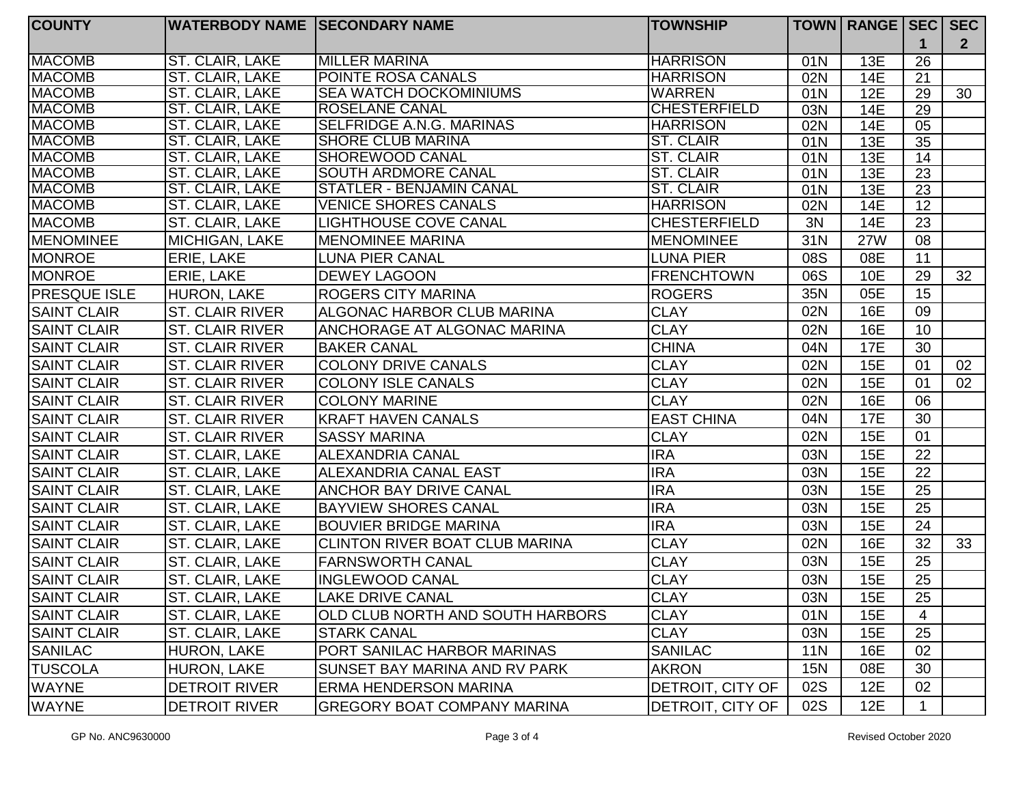| <b>COUNTY</b>       | <b>WATERBODY NAME SECONDARY NAME</b> |                                       | <b>TOWNSHIP</b>     |            | TOWN   RANGE   SEC   SEC |    |                |
|---------------------|--------------------------------------|---------------------------------------|---------------------|------------|--------------------------|----|----------------|
|                     |                                      |                                       |                     |            |                          |    | 2 <sup>1</sup> |
| <b>MACOMB</b>       | ST. CLAIR, LAKE                      | <b>MILLER MARINA</b>                  | <b>HARRISON</b>     | 01N        | 13E                      | 26 |                |
| <b>MACOMB</b>       | ST. CLAIR, LAKE                      | <b>POINTE ROSA CANALS</b>             | <b>HARRISON</b>     | 02N        | <b>14E</b>               | 21 |                |
| <b>MACOMB</b>       | ST. CLAIR, LAKE                      | <b>SEA WATCH DOCKOMINIUMS</b>         | <b>WARREN</b>       | 01N        | 12E                      | 29 | 30             |
| <b>MACOMB</b>       | ST. CLAIR, LAKE                      | <b>ROSELANE CANAL</b>                 | <b>CHESTERFIELD</b> | 03N        | 14E                      | 29 |                |
| <b>MACOMB</b>       | ST. CLAIR, LAKE                      | <b>SELFRIDGE A.N.G. MARINAS</b>       | <b>HARRISON</b>     | 02N        | 14E                      | 05 |                |
| <b>MACOMB</b>       | ST. CLAIR, LAKE                      | <b>SHORE CLUB MARINA</b>              | <b>ST. CLAIR</b>    | 01N        | 13E                      | 35 |                |
| <b>MACOMB</b>       | ST. CLAIR, LAKE                      | <b>SHOREWOOD CANAL</b>                | <b>ST. CLAIR</b>    | 01N        | 13E                      | 14 |                |
| <b>MACOMB</b>       | ST. CLAIR, LAKE                      | <b>SOUTH ARDMORE CANAL</b>            | <b>ST. CLAIR</b>    | 01N        | 13E                      | 23 |                |
| <b>MACOMB</b>       | ST. CLAIR, LAKE                      | <b>STATLER - BENJAMIN CANAL</b>       | <b>ST. CLAIR</b>    | 01N        | 13E                      | 23 |                |
| <b>MACOMB</b>       | ST. CLAIR, LAKE                      | <b>VENICE SHORES CANALS</b>           | <b>HARRISON</b>     | 02N        | 14E                      | 12 |                |
| <b>MACOMB</b>       | ST. CLAIR, LAKE                      | <b>LIGHTHOUSE COVE CANAL</b>          | <b>CHESTERFIELD</b> | 3N         | 14E                      | 23 |                |
| <b>MENOMINEE</b>    | MICHIGAN, LAKE                       | <b>IMENOMINEE MARINA</b>              | <b>MENOMINEE</b>    | 31N        | <b>27W</b>               | 08 |                |
| <b>MONROE</b>       | ERIE, LAKE                           | <b>LUNA PIER CANAL</b>                | <b>LUNA PIER</b>    | 08S        | 08E                      | 11 |                |
| <b>MONROE</b>       | ERIE, LAKE                           | <b>DEWEY LAGOON</b>                   | <b>FRENCHTOWN</b>   | 06S        | 10E                      | 29 | 32             |
| <b>PRESQUE ISLE</b> | HURON, LAKE                          | <b>ROGERS CITY MARINA</b>             | <b>ROGERS</b>       | 35N        | 05E                      | 15 |                |
| <b>SAINT CLAIR</b>  | <b>ST. CLAIR RIVER</b>               | <b>ALGONAC HARBOR CLUB MARINA</b>     | <b>CLAY</b>         | 02N        | 16E                      | 09 |                |
| <b>SAINT CLAIR</b>  | <b>ST. CLAIR RIVER</b>               | ANCHORAGE AT ALGONAC MARINA           | <b>CLAY</b>         | 02N        | 16E                      | 10 |                |
| <b>SAINT CLAIR</b>  | ST. CLAIR RIVER                      | <b>BAKER CANAL</b>                    | <b>CHINA</b>        | 04N        | <b>17E</b>               | 30 |                |
| <b>SAINT CLAIR</b>  | <b>ST. CLAIR RIVER</b>               | <b>COLONY DRIVE CANALS</b>            | <b>CLAY</b>         | 02N        | <b>15E</b>               | 01 | 02             |
| <b>SAINT CLAIR</b>  | <b>ST. CLAIR RIVER</b>               | <b>COLONY ISLE CANALS</b>             | <b>CLAY</b>         | 02N        | <b>15E</b>               | 01 | 02             |
| <b>SAINT CLAIR</b>  | <b>ST. CLAIR RIVER</b>               | <b>COLONY MARINE</b>                  | <b>CLAY</b>         | 02N        | 16E                      | 06 |                |
| <b>SAINT CLAIR</b>  | <b>ST. CLAIR RIVER</b>               | <b>KRAFT HAVEN CANALS</b>             | <b>EAST CHINA</b>   | 04N        | <b>17E</b>               | 30 |                |
| <b>SAINT CLAIR</b>  | <b>ST. CLAIR RIVER</b>               | <b>SASSY MARINA</b>                   | <b>CLAY</b>         | 02N        | <b>15E</b>               | 01 |                |
| <b>SAINT CLAIR</b>  | ST. CLAIR, LAKE                      | <b>ALEXANDRIA CANAL</b>               | <b>IRA</b>          | 03N        | <b>15E</b>               | 22 |                |
| <b>SAINT CLAIR</b>  | ST. CLAIR, LAKE                      | <b>ALEXANDRIA CANAL EAST</b>          | <b>IRA</b>          | 03N        | <b>15E</b>               | 22 |                |
| <b>SAINT CLAIR</b>  | ST. CLAIR, LAKE                      | <b>ANCHOR BAY DRIVE CANAL</b>         | <b>IRA</b>          | 03N        | <b>15E</b>               | 25 |                |
| <b>SAINT CLAIR</b>  | ST. CLAIR, LAKE                      | <b>BAYVIEW SHORES CANAL</b>           | <b>IRA</b>          | 03N        | <b>15E</b>               | 25 |                |
| <b>SAINT CLAIR</b>  | ST. CLAIR, LAKE                      | <b>BOUVIER BRIDGE MARINA</b>          | <b>IRA</b>          | 03N        | <b>15E</b>               | 24 |                |
| <b>SAINT CLAIR</b>  | ST. CLAIR, LAKE                      | <b>CLINTON RIVER BOAT CLUB MARINA</b> | <b>CLAY</b>         | 02N        | 16E                      | 32 | 33             |
| <b>SAINT CLAIR</b>  | ST. CLAIR, LAKE                      | <b>FARNSWORTH CANAL</b>               | <b>CLAY</b>         | 03N        | <b>15E</b>               | 25 |                |
| <b>SAINT CLAIR</b>  | ST. CLAIR, LAKE                      | <b>INGLEWOOD CANAL</b>                | <b>CLAY</b>         | 03N        | <b>15E</b>               | 25 |                |
| <b>SAINT CLAIR</b>  | ST. CLAIR, LAKE                      | <b>LAKE DRIVE CANAL</b>               | <b>CLAY</b>         | 03N        | 15E                      | 25 |                |
| <b>SAINT CLAIR</b>  | ST. CLAIR, LAKE                      | OLD CLUB NORTH AND SOUTH HARBORS      | <b>CLAY</b>         | 01N        | <b>15E</b>               | 4  |                |
| <b>SAINT CLAIR</b>  | ST. CLAIR, LAKE                      | <b>STARK CANAL</b>                    | <b>CLAY</b>         | 03N        | 15E                      | 25 |                |
| SANILAC             | HURON, LAKE                          | PORT SANILAC HARBOR MARINAS           | <b>SANILAC</b>      | <b>11N</b> | 16E                      | 02 |                |
| <b>TUSCOLA</b>      | HURON, LAKE                          | SUNSET BAY MARINA AND RV PARK         | <b>AKRON</b>        | <b>15N</b> | 08E                      | 30 |                |
| <b>WAYNE</b>        | <b>DETROIT RIVER</b>                 | <b>ERMA HENDERSON MARINA</b>          | DETROIT, CITY OF    | 02S        | 12E                      | 02 |                |
| <b>WAYNE</b>        | <b>DETROIT RIVER</b>                 | <b>GREGORY BOAT COMPANY MARINA</b>    | DETROIT, CITY OF    | 02S        | 12E                      | 1  |                |